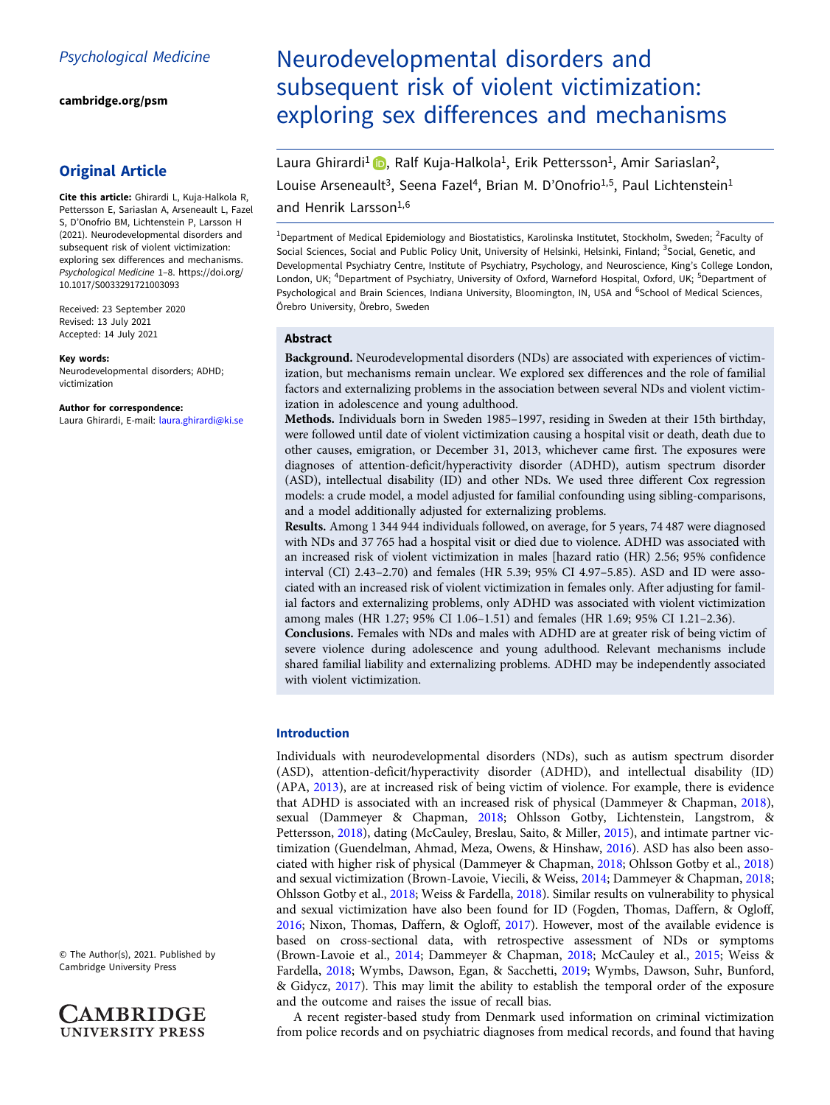[cambridge.org/psm](https://www.cambridge.org/psm)

# Original Article

Cite this article: Ghirardi L, Kuja-Halkola R, Pettersson E, Sariaslan A, Arseneault L, Fazel S, D'Onofrio BM, Lichtenstein P, Larsson H (2021). Neurodevelopmental disorders and subsequent risk of violent victimization: exploring sex differences and mechanisms. Psychological Medicine 1–8. [https://doi.org/](https://doi.org/10.1017/S0033291721003093) [10.1017/S0033291721003093](https://doi.org/10.1017/S0033291721003093)

Received: 23 September 2020 Revised: 13 July 2021 Accepted: 14 July 2021

#### Key words:

Neurodevelopmental disorders; ADHD; victimization

#### Author for correspondence:

Laura Ghirardi, E-mail: [laura.ghirardi@ki.se](mailto:laura.ghirardi@ki.se)

Neurodevelopmental disorders and subsequent risk of violent victimization: exploring sex differences and mechanisms

Laura Ghirardi<sup>1</sup> , Ralf Kuja-Halkola<sup>1</sup>, Erik Pettersson<sup>1</sup>, Amir Sariaslan<sup>2</sup>, Louise Arseneault<sup>3</sup>, Seena Fazel<sup>4</sup>, Brian M. D'Onofrio<sup>1,5</sup>, Paul Lichtenstein<sup>1</sup>

# and Henrik Larsson<sup>1,6</sup>

<sup>1</sup>Department of Medical Epidemiology and Biostatistics, Karolinska Institutet, Stockholm, Sweden; <sup>2</sup>Faculty of Social Sciences, Social and Public Policy Unit, University of Helsinki, Helsinki, Finland; <sup>3</sup>Social, Genetic, and Developmental Psychiatry Centre, Institute of Psychiatry, Psychology, and Neuroscience, King's College London, London, UK; <sup>4</sup>Department of Psychiatry, University of Oxford, Warneford Hospital, Oxford, UK; <sup>5</sup>Department of Psychological and Brain Sciences, Indiana University, Bloomington, IN, USA and <sup>6</sup>School of Medical Sciences, Örebro University, Örebro, Sweden

## Abstract

Background. Neurodevelopmental disorders (NDs) are associated with experiences of victimization, but mechanisms remain unclear. We explored sex differences and the role of familial factors and externalizing problems in the association between several NDs and violent victimization in adolescence and young adulthood.

Methods. Individuals born in Sweden 1985–1997, residing in Sweden at their 15th birthday, were followed until date of violent victimization causing a hospital visit or death, death due to other causes, emigration, or December 31, 2013, whichever came first. The exposures were diagnoses of attention-deficit/hyperactivity disorder (ADHD), autism spectrum disorder (ASD), intellectual disability (ID) and other NDs. We used three different Cox regression models: a crude model, a model adjusted for familial confounding using sibling-comparisons, and a model additionally adjusted for externalizing problems.

Results. Among 1 344 944 individuals followed, on average, for 5 years, 74 487 were diagnosed with NDs and 37 765 had a hospital visit or died due to violence. ADHD was associated with an increased risk of violent victimization in males [hazard ratio (HR) 2.56; 95% confidence interval (CI) 2.43–2.70) and females (HR 5.39; 95% CI 4.97–5.85). ASD and ID were associated with an increased risk of violent victimization in females only. After adjusting for familial factors and externalizing problems, only ADHD was associated with violent victimization among males (HR 1.27; 95% CI 1.06–1.51) and females (HR 1.69; 95% CI 1.21–2.36).

Conclusions. Females with NDs and males with ADHD are at greater risk of being victim of severe violence during adolescence and young adulthood. Relevant mechanisms include shared familial liability and externalizing problems. ADHD may be independently associated with violent victimization.

## Introduction

Individuals with neurodevelopmental disorders (NDs), such as autism spectrum disorder (ASD), attention-deficit/hyperactivity disorder (ADHD), and intellectual disability (ID) (APA, [2013](#page-6-0)), are at increased risk of being victim of violence. For example, there is evidence that ADHD is associated with an increased risk of physical (Dammeyer & Chapman, [2018](#page-6-0)), sexual (Dammeyer & Chapman, [2018](#page-6-0); Ohlsson Gotby, Lichtenstein, Langstrom, & Pettersson, [2018](#page-7-0)), dating (McCauley, Breslau, Saito, & Miller, [2015\)](#page-7-0), and intimate partner victimization (Guendelman, Ahmad, Meza, Owens, & Hinshaw, [2016](#page-7-0)). ASD has also been associated with higher risk of physical (Dammeyer & Chapman, [2018;](#page-6-0) Ohlsson Gotby et al., [2018](#page-7-0)) and sexual victimization (Brown-Lavoie, Viecili, & Weiss, [2014;](#page-6-0) Dammeyer & Chapman, [2018](#page-6-0); Ohlsson Gotby et al., [2018](#page-7-0); Weiss & Fardella, [2018](#page-7-0)). Similar results on vulnerability to physical and sexual victimization have also been found for ID (Fogden, Thomas, Daffern, & Ogloff, [2016;](#page-6-0) Nixon, Thomas, Daffern, & Ogloff, [2017\)](#page-7-0). However, most of the available evidence is based on cross-sectional data, with retrospective assessment of NDs or symptoms (Brown-Lavoie et al., [2014;](#page-6-0) Dammeyer & Chapman, [2018;](#page-6-0) McCauley et al., [2015;](#page-7-0) Weiss & Fardella, [2018](#page-7-0); Wymbs, Dawson, Egan, & Sacchetti, [2019;](#page-7-0) Wymbs, Dawson, Suhr, Bunford, & Gidycz, [2017](#page-7-0)). This may limit the ability to establish the temporal order of the exposure and the outcome and raises the issue of recall bias.

A recent register-based study from Denmark used information on criminal victimization from police records and on psychiatric diagnoses from medical records, and found that having

© The Author(s), 2021. Published by Cambridge University Press

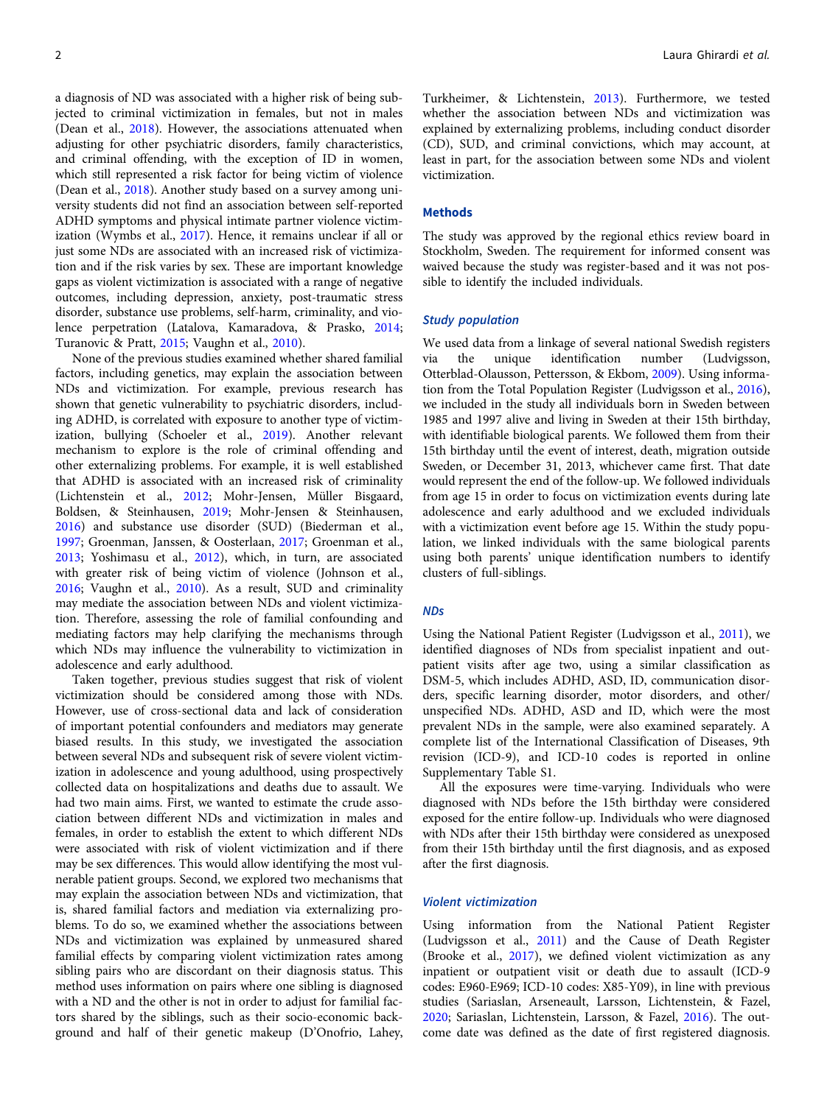a diagnosis of ND was associated with a higher risk of being subjected to criminal victimization in females, but not in males (Dean et al., [2018](#page-6-0)). However, the associations attenuated when adjusting for other psychiatric disorders, family characteristics, and criminal offending, with the exception of ID in women, which still represented a risk factor for being victim of violence (Dean et al., [2018](#page-6-0)). Another study based on a survey among university students did not find an association between self-reported ADHD symptoms and physical intimate partner violence victimization (Wymbs et al., [2017\)](#page-7-0). Hence, it remains unclear if all or just some NDs are associated with an increased risk of victimization and if the risk varies by sex. These are important knowledge gaps as violent victimization is associated with a range of negative outcomes, including depression, anxiety, post-traumatic stress disorder, substance use problems, self-harm, criminality, and violence perpetration (Latalova, Kamaradova, & Prasko, [2014](#page-7-0); Turanovic & Pratt, [2015](#page-7-0); Vaughn et al., [2010\)](#page-7-0).

None of the previous studies examined whether shared familial factors, including genetics, may explain the association between NDs and victimization. For example, previous research has shown that genetic vulnerability to psychiatric disorders, including ADHD, is correlated with exposure to another type of victimization, bullying (Schoeler et al., [2019\)](#page-7-0). Another relevant mechanism to explore is the role of criminal offending and other externalizing problems. For example, it is well established that ADHD is associated with an increased risk of criminality (Lichtenstein et al., [2012;](#page-7-0) Mohr-Jensen, Müller Bisgaard, Boldsen, & Steinhausen, [2019;](#page-7-0) Mohr-Jensen & Steinhausen, [2016\)](#page-7-0) and substance use disorder (SUD) (Biederman et al., [1997;](#page-6-0) Groenman, Janssen, & Oosterlaan, [2017;](#page-6-0) Groenman et al., [2013](#page-6-0); Yoshimasu et al., [2012\)](#page-7-0), which, in turn, are associated with greater risk of being victim of violence (Johnson et al., [2016](#page-7-0); Vaughn et al., [2010\)](#page-7-0). As a result, SUD and criminality may mediate the association between NDs and violent victimization. Therefore, assessing the role of familial confounding and mediating factors may help clarifying the mechanisms through which NDs may influence the vulnerability to victimization in adolescence and early adulthood.

Taken together, previous studies suggest that risk of violent victimization should be considered among those with NDs. However, use of cross-sectional data and lack of consideration of important potential confounders and mediators may generate biased results. In this study, we investigated the association between several NDs and subsequent risk of severe violent victimization in adolescence and young adulthood, using prospectively collected data on hospitalizations and deaths due to assault. We had two main aims. First, we wanted to estimate the crude association between different NDs and victimization in males and females, in order to establish the extent to which different NDs were associated with risk of violent victimization and if there may be sex differences. This would allow identifying the most vulnerable patient groups. Second, we explored two mechanisms that may explain the association between NDs and victimization, that is, shared familial factors and mediation via externalizing problems. To do so, we examined whether the associations between NDs and victimization was explained by unmeasured shared familial effects by comparing violent victimization rates among sibling pairs who are discordant on their diagnosis status. This method uses information on pairs where one sibling is diagnosed with a ND and the other is not in order to adjust for familial factors shared by the siblings, such as their socio-economic background and half of their genetic makeup (D'Onofrio, Lahey,

Turkheimer, & Lichtenstein, [2013\)](#page-6-0). Furthermore, we tested whether the association between NDs and victimization was explained by externalizing problems, including conduct disorder (CD), SUD, and criminal convictions, which may account, at least in part, for the association between some NDs and violent victimization.

#### Methods

The study was approved by the regional ethics review board in Stockholm, Sweden. The requirement for informed consent was waived because the study was register-based and it was not possible to identify the included individuals.

## Study population

We used data from a linkage of several national Swedish registers via the unique identification number (Ludvigsson, Otterblad-Olausson, Pettersson, & Ekbom, [2009](#page-7-0)). Using information from the Total Population Register (Ludvigsson et al., [2016](#page-7-0)), we included in the study all individuals born in Sweden between 1985 and 1997 alive and living in Sweden at their 15th birthday, with identifiable biological parents. We followed them from their 15th birthday until the event of interest, death, migration outside Sweden, or December 31, 2013, whichever came first. That date would represent the end of the follow-up. We followed individuals from age 15 in order to focus on victimization events during late adolescence and early adulthood and we excluded individuals with a victimization event before age 15. Within the study population, we linked individuals with the same biological parents using both parents' unique identification numbers to identify clusters of full-siblings.

### NDs

Using the National Patient Register (Ludvigsson et al., [2011](#page-7-0)), we identified diagnoses of NDs from specialist inpatient and outpatient visits after age two, using a similar classification as DSM-5, which includes ADHD, ASD, ID, communication disorders, specific learning disorder, motor disorders, and other/ unspecified NDs. ADHD, ASD and ID, which were the most prevalent NDs in the sample, were also examined separately. A complete list of the International Classification of Diseases, 9th revision (ICD-9), and ICD-10 codes is reported in online Supplementary Table S1.

All the exposures were time-varying. Individuals who were diagnosed with NDs before the 15th birthday were considered exposed for the entire follow-up. Individuals who were diagnosed with NDs after their 15th birthday were considered as unexposed from their 15th birthday until the first diagnosis, and as exposed after the first diagnosis.

## Violent victimization

Using information from the National Patient Register (Ludvigsson et al., [2011\)](#page-7-0) and the Cause of Death Register (Brooke et al., [2017](#page-6-0)), we defined violent victimization as any inpatient or outpatient visit or death due to assault (ICD-9 codes: E960-E969; ICD-10 codes: X85-Y09), in line with previous studies (Sariaslan, Arseneault, Larsson, Lichtenstein, & Fazel, [2020;](#page-7-0) Sariaslan, Lichtenstein, Larsson, & Fazel, [2016\)](#page-7-0). The outcome date was defined as the date of first registered diagnosis.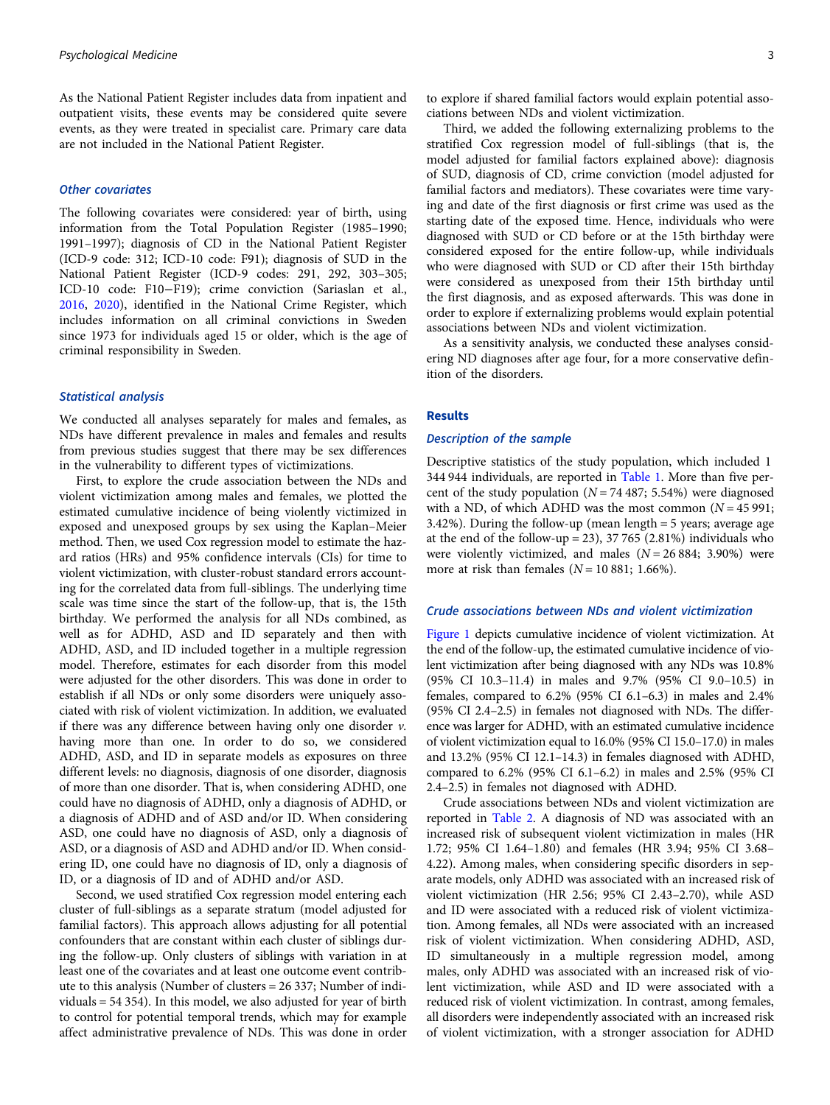As the National Patient Register includes data from inpatient and outpatient visits, these events may be considered quite severe events, as they were treated in specialist care. Primary care data are not included in the National Patient Register.

### Other covariates

The following covariates were considered: year of birth, using information from the Total Population Register (1985–1990; 1991–1997); diagnosis of CD in the National Patient Register (ICD-9 code: 312; ICD-10 code: F91); diagnosis of SUD in the National Patient Register (ICD-9 codes: 291, 292, 303–305; ICD-10 code: F10−F19); crime conviction (Sariaslan et al., [2016,](#page-7-0) [2020\)](#page-7-0), identified in the National Crime Register, which includes information on all criminal convictions in Sweden since 1973 for individuals aged 15 or older, which is the age of criminal responsibility in Sweden.

#### Statistical analysis

We conducted all analyses separately for males and females, as NDs have different prevalence in males and females and results from previous studies suggest that there may be sex differences in the vulnerability to different types of victimizations.

First, to explore the crude association between the NDs and violent victimization among males and females, we plotted the estimated cumulative incidence of being violently victimized in exposed and unexposed groups by sex using the Kaplan–Meier method. Then, we used Cox regression model to estimate the hazard ratios (HRs) and 95% confidence intervals (CIs) for time to violent victimization, with cluster-robust standard errors accounting for the correlated data from full-siblings. The underlying time scale was time since the start of the follow-up, that is, the 15th birthday. We performed the analysis for all NDs combined, as well as for ADHD, ASD and ID separately and then with ADHD, ASD, and ID included together in a multiple regression model. Therefore, estimates for each disorder from this model were adjusted for the other disorders. This was done in order to establish if all NDs or only some disorders were uniquely associated with risk of violent victimization. In addition, we evaluated if there was any difference between having only one disorder  $v$ . having more than one. In order to do so, we considered ADHD, ASD, and ID in separate models as exposures on three different levels: no diagnosis, diagnosis of one disorder, diagnosis of more than one disorder. That is, when considering ADHD, one could have no diagnosis of ADHD, only a diagnosis of ADHD, or a diagnosis of ADHD and of ASD and/or ID. When considering ASD, one could have no diagnosis of ASD, only a diagnosis of ASD, or a diagnosis of ASD and ADHD and/or ID. When considering ID, one could have no diagnosis of ID, only a diagnosis of ID, or a diagnosis of ID and of ADHD and/or ASD.

Second, we used stratified Cox regression model entering each cluster of full-siblings as a separate stratum (model adjusted for familial factors). This approach allows adjusting for all potential confounders that are constant within each cluster of siblings during the follow-up. Only clusters of siblings with variation in at least one of the covariates and at least one outcome event contribute to this analysis (Number of clusters = 26 337; Number of individuals = 54 354). In this model, we also adjusted for year of birth to control for potential temporal trends, which may for example affect administrative prevalence of NDs. This was done in order

Third, we added the following externalizing problems to the stratified Cox regression model of full-siblings (that is, the model adjusted for familial factors explained above): diagnosis of SUD, diagnosis of CD, crime conviction (model adjusted for familial factors and mediators). These covariates were time varying and date of the first diagnosis or first crime was used as the starting date of the exposed time. Hence, individuals who were diagnosed with SUD or CD before or at the 15th birthday were considered exposed for the entire follow-up, while individuals who were diagnosed with SUD or CD after their 15th birthday were considered as unexposed from their 15th birthday until the first diagnosis, and as exposed afterwards. This was done in order to explore if externalizing problems would explain potential associations between NDs and violent victimization.

As a sensitivity analysis, we conducted these analyses considering ND diagnoses after age four, for a more conservative definition of the disorders.

#### Results

## Description of the sample

Descriptive statistics of the study population, which included 1 344 944 individuals, are reported in [Table 1](#page-3-0). More than five percent of the study population ( $N = 74487$ ; 5.54%) were diagnosed with a ND, of which ADHD was the most common  $(N = 45991;$ 3.42%). During the follow-up (mean length = 5 years; average age at the end of the follow-up = 23), 37 765 (2.81%) individuals who were violently victimized, and males  $(N = 26884; 3.90\%)$  were more at risk than females  $(N = 10 881; 1.66\%).$ 

## Crude associations between NDs and violent victimization

[Figure 1](#page-3-0) depicts cumulative incidence of violent victimization. At the end of the follow-up, the estimated cumulative incidence of violent victimization after being diagnosed with any NDs was 10.8% (95% CI 10.3–11.4) in males and 9.7% (95% CI 9.0–10.5) in females, compared to 6.2% (95% CI 6.1–6.3) in males and 2.4% (95% CI 2.4–2.5) in females not diagnosed with NDs. The difference was larger for ADHD, with an estimated cumulative incidence of violent victimization equal to 16.0% (95% CI 15.0–17.0) in males and 13.2% (95% CI 12.1–14.3) in females diagnosed with ADHD, compared to 6.2% (95% CI 6.1–6.2) in males and 2.5% (95% CI 2.4–2.5) in females not diagnosed with ADHD.

Crude associations between NDs and violent victimization are reported in [Table 2.](#page-4-0) A diagnosis of ND was associated with an increased risk of subsequent violent victimization in males (HR 1.72; 95% CI 1.64–1.80) and females (HR 3.94; 95% CI 3.68– 4.22). Among males, when considering specific disorders in separate models, only ADHD was associated with an increased risk of violent victimization (HR 2.56; 95% CI 2.43–2.70), while ASD and ID were associated with a reduced risk of violent victimization. Among females, all NDs were associated with an increased risk of violent victimization. When considering ADHD, ASD, ID simultaneously in a multiple regression model, among males, only ADHD was associated with an increased risk of violent victimization, while ASD and ID were associated with a reduced risk of violent victimization. In contrast, among females, all disorders were independently associated with an increased risk of violent victimization, with a stronger association for ADHD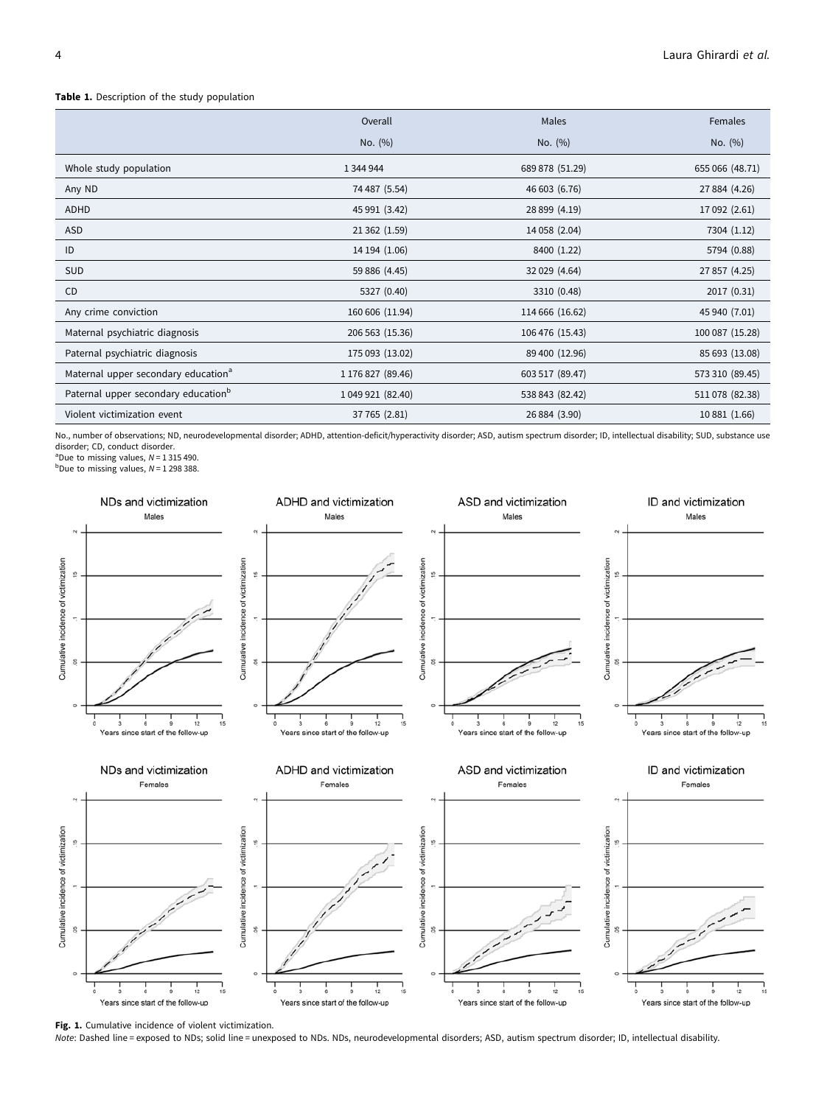## <span id="page-3-0"></span>Table 1. Description of the study population

|                                                 | Overall           | Males           | Females         |
|-------------------------------------------------|-------------------|-----------------|-----------------|
|                                                 | No. (%)           | No. (%)         | No. (%)         |
| Whole study population                          | 1 344 944         | 689 878 (51.29) | 655 066 (48.71) |
| Any ND                                          | 74 487 (5.54)     | 46 603 (6.76)   | 27 884 (4.26)   |
| ADHD                                            | 45 991 (3.42)     | 28 899 (4.19)   | 17 092 (2.61)   |
| ASD                                             | 21 362 (1.59)     | 14 058 (2.04)   | 7304 (1.12)     |
| ID                                              | 14 194 (1.06)     | 8400 (1.22)     | 5794 (0.88)     |
| <b>SUD</b>                                      | 59 886 (4.45)     | 32 029 (4.64)   | 27 857 (4.25)   |
| <b>CD</b>                                       | 5327 (0.40)       | 3310 (0.48)     | 2017 (0.31)     |
| Any crime conviction                            | 160 606 (11.94)   | 114 666 (16.62) | 45 940 (7.01)   |
| Maternal psychiatric diagnosis                  | 206 563 (15.36)   | 106 476 (15.43) | 100 087 (15.28) |
| Paternal psychiatric diagnosis                  | 175 093 (13.02)   | 89 400 (12.96)  | 85 693 (13.08)  |
| Maternal upper secondary education <sup>a</sup> | 1 176 827 (89.46) | 603 517 (89.47) | 573 310 (89.45) |
| Paternal upper secondary education <sup>b</sup> | 1 049 921 (82.40) | 538 843 (82.42) | 511 078 (82.38) |
| Violent victimization event                     | 37 765 (2.81)     | 26 884 (3.90)   | 10 881 (1.66)   |

No., number of observations; ND, neurodevelopmental disorder; ADHD, attention-deficit/hyperactivity disorder; ASD, autism spectrum disorder; ID, intellectual disability; SUD, substance use disorder; CD, conduct disorder.

<sup>a</sup>Due to missing values,  $N = 1315490$ .<br><sup>b</sup>Due to missing values,  $N = 1298388$ .



Fig. 1. Cumulative incidence of violent victimization.

Note: Dashed line = exposed to NDs; solid line = unexposed to NDs. NDs, neurodevelopmental disorders; ASD, autism spectrum disorder; ID, intellectual disability.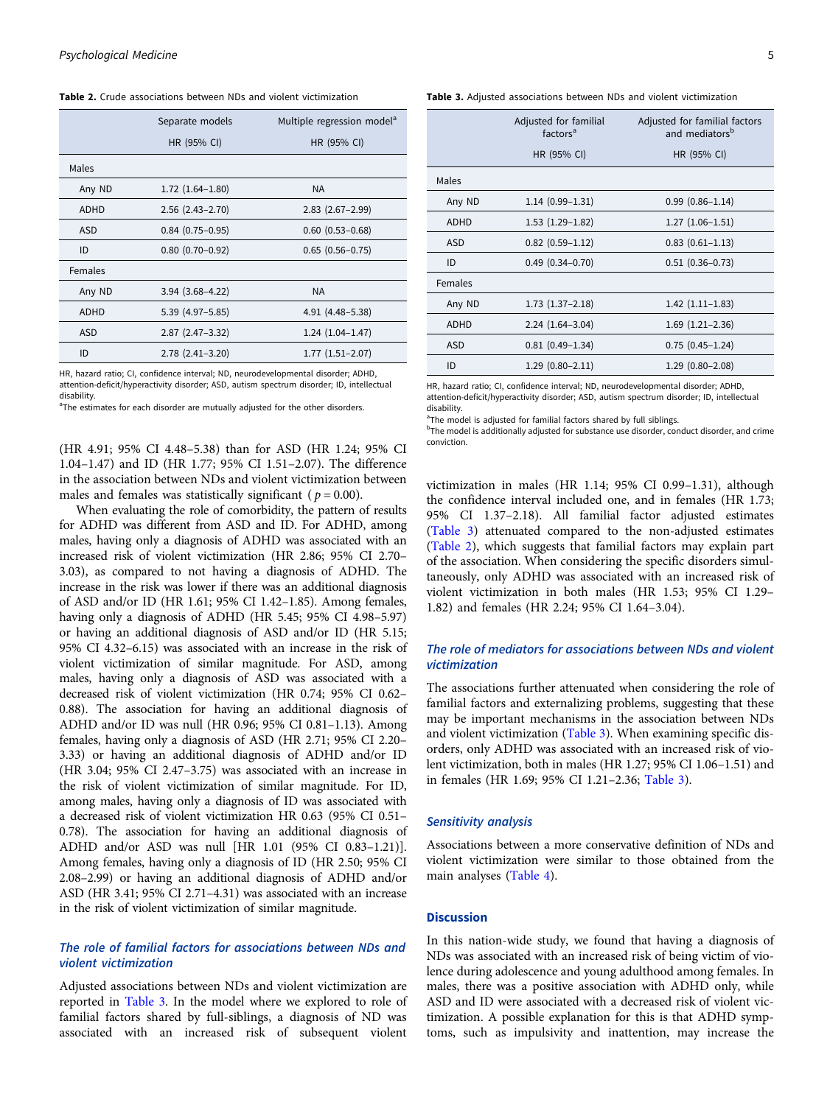<span id="page-4-0"></span>Table 2. Crude associations between NDs and violent victimization

|             | Separate models        | Multiple regression model <sup>a</sup> |  |
|-------------|------------------------|----------------------------------------|--|
|             | HR (95% CI)            | HR (95% CI)                            |  |
| Males       |                        |                                        |  |
| Any ND      | $1.72$ $(1.64-1.80)$   | <b>NA</b>                              |  |
| <b>ADHD</b> | $2.56$ $(2.43 - 2.70)$ | $2.83$ $(2.67 - 2.99)$                 |  |
| <b>ASD</b>  | $0.84$ (0.75-0.95)     | $0.60$ $(0.53 - 0.68)$                 |  |
| ID          | $0.80(0.70-0.92)$      | $0.65(0.56 - 0.75)$                    |  |
| Females     |                        |                                        |  |
| Any ND      | $3.94$ $(3.68 - 4.22)$ | <b>NA</b>                              |  |
| <b>ADHD</b> | $5.39(4.97 - 5.85)$    | 4.91 (4.48-5.38)                       |  |
| <b>ASD</b>  | $2.87$ $(2.47-3.32)$   | $1.24(1.04-1.47)$                      |  |
| ID          | $2.78(2.41-3.20)$      | $1.77(1.51 - 2.07)$                    |  |

HR, hazard ratio; CI, confidence interval; ND, neurodevelopmental disorder; ADHD, attention-deficit/hyperactivity disorder; ASD, autism spectrum disorder; ID, intellectual disability.

<sup>a</sup>The estimates for each disorder are mutually adjusted for the other disorders.

(HR 4.91; 95% CI 4.48–5.38) than for ASD (HR 1.24; 95% CI 1.04–1.47) and ID (HR 1.77; 95% CI 1.51–2.07). The difference in the association between NDs and violent victimization between males and females was statistically significant ( $p = 0.00$ ).

When evaluating the role of comorbidity, the pattern of results for ADHD was different from ASD and ID. For ADHD, among males, having only a diagnosis of ADHD was associated with an increased risk of violent victimization (HR 2.86; 95% CI 2.70– 3.03), as compared to not having a diagnosis of ADHD. The increase in the risk was lower if there was an additional diagnosis of ASD and/or ID (HR 1.61; 95% CI 1.42–1.85). Among females, having only a diagnosis of ADHD (HR 5.45; 95% CI 4.98–5.97) or having an additional diagnosis of ASD and/or ID (HR 5.15; 95% CI 4.32–6.15) was associated with an increase in the risk of violent victimization of similar magnitude. For ASD, among males, having only a diagnosis of ASD was associated with a decreased risk of violent victimization (HR 0.74; 95% CI 0.62– 0.88). The association for having an additional diagnosis of ADHD and/or ID was null (HR 0.96; 95% CI 0.81–1.13). Among females, having only a diagnosis of ASD (HR 2.71; 95% CI 2.20– 3.33) or having an additional diagnosis of ADHD and/or ID (HR 3.04; 95% CI 2.47–3.75) was associated with an increase in the risk of violent victimization of similar magnitude. For ID, among males, having only a diagnosis of ID was associated with a decreased risk of violent victimization HR 0.63 (95% CI 0.51– 0.78). The association for having an additional diagnosis of ADHD and/or ASD was null [HR 1.01 (95% CI 0.83–1.21)]. Among females, having only a diagnosis of ID (HR 2.50; 95% CI 2.08–2.99) or having an additional diagnosis of ADHD and/or ASD (HR 3.41; 95% CI 2.71–4.31) was associated with an increase in the risk of violent victimization of similar magnitude.

## The role of familial factors for associations between NDs and violent victimization

Adjusted associations between NDs and violent victimization are reported in Table 3. In the model where we explored to role of familial factors shared by full-siblings, a diagnosis of ND was associated with an increased risk of subsequent violent

Table 3. Adjusted associations between NDs and violent victimization

|            | Adjusted for familial<br>Adjusted for familial factors<br>and mediators <sup>b</sup><br>factors <sup>a</sup> |                        |
|------------|--------------------------------------------------------------------------------------------------------------|------------------------|
|            | HR (95% CI)                                                                                                  | HR (95% CI)            |
| Males      |                                                                                                              |                        |
| Any ND     | $1.14(0.99-1.31)$                                                                                            | $0.99(0.86 - 1.14)$    |
| ADHD       | $1.53(1.29-1.82)$                                                                                            | $1.27(1.06-1.51)$      |
| ASD        | $0.82$ $(0.59-1.12)$                                                                                         | $0.83$ $(0.61 - 1.13)$ |
| ID         | $0.49$ $(0.34 - 0.70)$                                                                                       | $0.51(0.36 - 0.73)$    |
| Females    |                                                                                                              |                        |
| Any ND     | $1.73(1.37-2.18)$                                                                                            | $1.42(1.11-1.83)$      |
| ADHD       | $2.24(1.64-3.04)$                                                                                            | $1.69$ $(1.21 - 2.36)$ |
| <b>ASD</b> | $0.81(0.49-1.34)$                                                                                            | $0.75(0.45 - 1.24)$    |
| ID         | $1.29(0.80 - 2.11)$                                                                                          | $1.29(0.80 - 2.08)$    |

HR, hazard ratio; CI, confidence interval; ND, neurodevelopmental disorder; ADHD, attention-deficit/hyperactivity disorder; ASD, autism spectrum disorder; ID, intellectual disability.

<sup>a</sup>The model is adjusted for familial factors shared by full siblings.

<sup>b</sup>The model is additionally adjusted for substance use disorder, conduct disorder, and crime conviction.

victimization in males (HR 1.14; 95% CI 0.99–1.31), although the confidence interval included one, and in females (HR 1.73; 95% CI 1.37–2.18). All familial factor adjusted estimates (Table 3) attenuated compared to the non-adjusted estimates (Table 2), which suggests that familial factors may explain part of the association. When considering the specific disorders simultaneously, only ADHD was associated with an increased risk of violent victimization in both males (HR 1.53; 95% CI 1.29– 1.82) and females (HR 2.24; 95% CI 1.64–3.04).

## The role of mediators for associations between NDs and violent victimization

The associations further attenuated when considering the role of familial factors and externalizing problems, suggesting that these may be important mechanisms in the association between NDs and violent victimization (Table 3). When examining specific disorders, only ADHD was associated with an increased risk of violent victimization, both in males (HR 1.27; 95% CI 1.06–1.51) and in females (HR 1.69; 95% CI 1.21–2.36; Table 3).

## Sensitivity analysis

Associations between a more conservative definition of NDs and violent victimization were similar to those obtained from the main analyses [\(Table 4\)](#page-5-0).

## **Discussion**

In this nation-wide study, we found that having a diagnosis of NDs was associated with an increased risk of being victim of violence during adolescence and young adulthood among females. In males, there was a positive association with ADHD only, while ASD and ID were associated with a decreased risk of violent victimization. A possible explanation for this is that ADHD symptoms, such as impulsivity and inattention, may increase the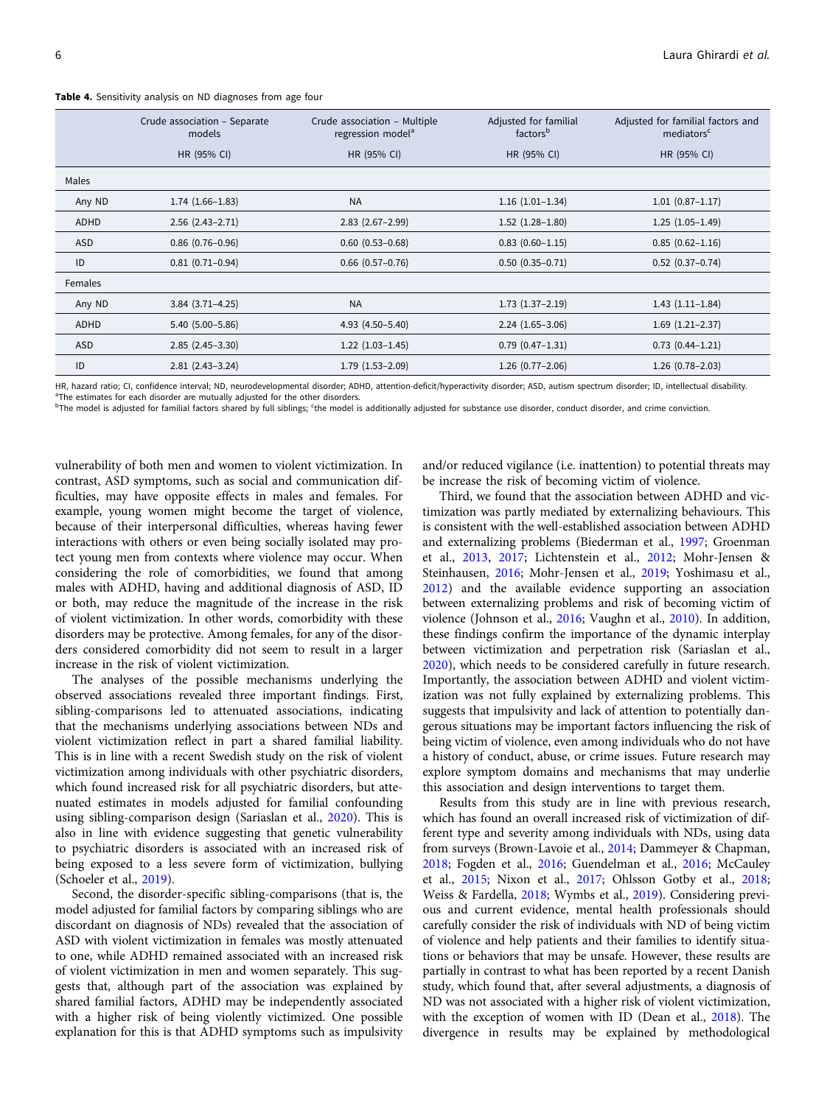|             | Crude association - Separate<br>models | Crude association - Multiple<br>regression model <sup>a</sup> | Adjusted for familial<br>factors <sup>b</sup> | Adjusted for familial factors and<br>mediators <sup>c</sup> |
|-------------|----------------------------------------|---------------------------------------------------------------|-----------------------------------------------|-------------------------------------------------------------|
|             | HR (95% CI)                            | HR (95% CI)                                                   | HR (95% CI)                                   | HR (95% CI)                                                 |
| Males       |                                        |                                                               |                                               |                                                             |
| Any ND      | $1.74(1.66-1.83)$                      | <b>NA</b>                                                     | $1.16(1.01-1.34)$                             | $1.01(0.87 - 1.17)$                                         |
| <b>ADHD</b> | $2.56(2.43 - 2.71)$                    | $2.83$ $(2.67 - 2.99)$                                        | $1.52$ $(1.28-1.80)$                          | $1.25(1.05-1.49)$                                           |
| <b>ASD</b>  | $0.86$ $(0.76 - 0.96)$                 | $0.60$ $(0.53 - 0.68)$                                        | $0.83$ $(0.60 - 1.15)$                        | $0.85(0.62 - 1.16)$                                         |
| ID          | $0.81(0.71-0.94)$                      | $0.66$ $(0.57-0.76)$                                          | $0.50(0.35 - 0.71)$                           | $0.52$ $(0.37-0.74)$                                        |
| Females     |                                        |                                                               |                                               |                                                             |
| Any ND      | $3.84$ $(3.71 - 4.25)$                 | <b>NA</b>                                                     | $1.73$ $(1.37-2.19)$                          | $1.43(1.11-1.84)$                                           |
| <b>ADHD</b> | $5.40(5.00 - 5.86)$                    | 4.93 (4.50-5.40)                                              | $2.24(1.65-3.06)$                             | $1.69$ $(1.21-2.37)$                                        |
| <b>ASD</b>  | $2.85(2.45-3.30)$                      | $1.22$ $(1.03-1.45)$                                          | $0.79(0.47 - 1.31)$                           | $0.73(0.44 - 1.21)$                                         |
| ID          | $2.81(2.43-3.24)$                      | $1.79(1.53 - 2.09)$                                           | $1.26(0.77-2.06)$                             | $1.26(0.78-2.03)$                                           |

<span id="page-5-0"></span>Table 4. Sensitivity analysis on ND diagnoses from age four

HR, hazard ratio; CI, confidence interval; ND, neurodevelopmental disorder; ADHD, attention-deficit/hyperactivity disorder; ASD, autism spectrum disorder; ID, intellectual disability. <sup>a</sup>The estimates for each disorder are mutually adjusted for the other disorders.

<sup>b</sup>The model is adjusted for familial factors shared by full siblings; <sup>c</sup>the model is additionally adjusted for substance use disorder, conduct disorder, and crime conviction.

vulnerability of both men and women to violent victimization. In contrast, ASD symptoms, such as social and communication difficulties, may have opposite effects in males and females. For example, young women might become the target of violence, because of their interpersonal difficulties, whereas having fewer interactions with others or even being socially isolated may protect young men from contexts where violence may occur. When considering the role of comorbidities, we found that among males with ADHD, having and additional diagnosis of ASD, ID or both, may reduce the magnitude of the increase in the risk of violent victimization. In other words, comorbidity with these disorders may be protective. Among females, for any of the disorders considered comorbidity did not seem to result in a larger increase in the risk of violent victimization.

The analyses of the possible mechanisms underlying the observed associations revealed three important findings. First, sibling-comparisons led to attenuated associations, indicating that the mechanisms underlying associations between NDs and violent victimization reflect in part a shared familial liability. This is in line with a recent Swedish study on the risk of violent victimization among individuals with other psychiatric disorders, which found increased risk for all psychiatric disorders, but attenuated estimates in models adjusted for familial confounding using sibling-comparison design (Sariaslan et al., [2020](#page-7-0)). This is also in line with evidence suggesting that genetic vulnerability to psychiatric disorders is associated with an increased risk of being exposed to a less severe form of victimization, bullying (Schoeler et al., [2019](#page-7-0)).

Second, the disorder-specific sibling-comparisons (that is, the model adjusted for familial factors by comparing siblings who are discordant on diagnosis of NDs) revealed that the association of ASD with violent victimization in females was mostly attenuated to one, while ADHD remained associated with an increased risk of violent victimization in men and women separately. This suggests that, although part of the association was explained by shared familial factors, ADHD may be independently associated with a higher risk of being violently victimized. One possible explanation for this is that ADHD symptoms such as impulsivity and/or reduced vigilance (i.e. inattention) to potential threats may be increase the risk of becoming victim of violence.

Third, we found that the association between ADHD and victimization was partly mediated by externalizing behaviours. This is consistent with the well-established association between ADHD and externalizing problems (Biederman et al., [1997;](#page-6-0) Groenman et al., [2013](#page-6-0), [2017](#page-6-0); Lichtenstein et al., [2012;](#page-7-0) Mohr-Jensen & Steinhausen, [2016;](#page-7-0) Mohr-Jensen et al., [2019](#page-7-0); Yoshimasu et al., [2012\)](#page-7-0) and the available evidence supporting an association between externalizing problems and risk of becoming victim of violence (Johnson et al., [2016;](#page-7-0) Vaughn et al., [2010\)](#page-7-0). In addition, these findings confirm the importance of the dynamic interplay between victimization and perpetration risk (Sariaslan et al., [2020\)](#page-7-0), which needs to be considered carefully in future research. Importantly, the association between ADHD and violent victimization was not fully explained by externalizing problems. This suggests that impulsivity and lack of attention to potentially dangerous situations may be important factors influencing the risk of being victim of violence, even among individuals who do not have a history of conduct, abuse, or crime issues. Future research may explore symptom domains and mechanisms that may underlie this association and design interventions to target them.

Results from this study are in line with previous research, which has found an overall increased risk of victimization of different type and severity among individuals with NDs, using data from surveys (Brown-Lavoie et al., [2014](#page-6-0); Dammeyer & Chapman, [2018;](#page-6-0) Fogden et al., [2016](#page-6-0); Guendelman et al., [2016](#page-7-0); McCauley et al., [2015;](#page-7-0) Nixon et al., [2017](#page-7-0); Ohlsson Gotby et al., [2018;](#page-7-0) Weiss & Fardella, [2018](#page-7-0); Wymbs et al., [2019](#page-7-0)). Considering previous and current evidence, mental health professionals should carefully consider the risk of individuals with ND of being victim of violence and help patients and their families to identify situations or behaviors that may be unsafe. However, these results are partially in contrast to what has been reported by a recent Danish study, which found that, after several adjustments, a diagnosis of ND was not associated with a higher risk of violent victimization, with the exception of women with ID (Dean et al., [2018\)](#page-6-0). The divergence in results may be explained by methodological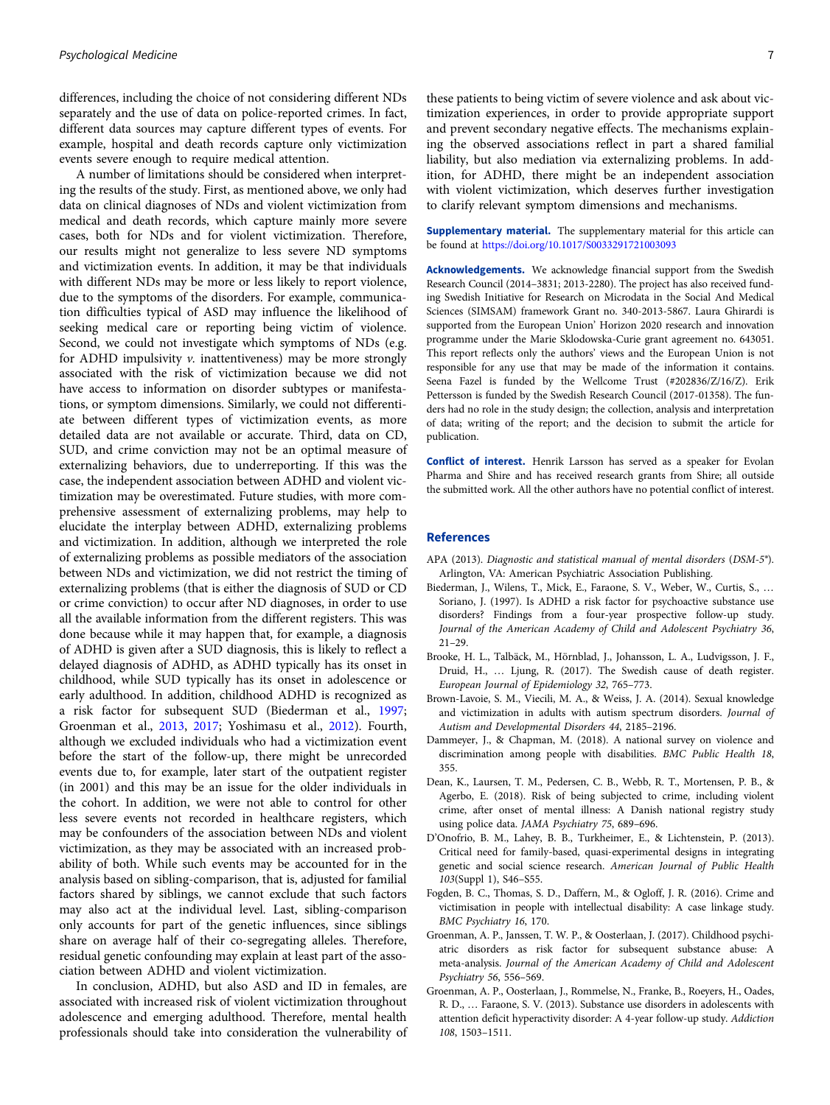<span id="page-6-0"></span>differences, including the choice of not considering different NDs separately and the use of data on police-reported crimes. In fact, different data sources may capture different types of events. For example, hospital and death records capture only victimization events severe enough to require medical attention.

A number of limitations should be considered when interpreting the results of the study. First, as mentioned above, we only had data on clinical diagnoses of NDs and violent victimization from medical and death records, which capture mainly more severe cases, both for NDs and for violent victimization. Therefore, our results might not generalize to less severe ND symptoms and victimization events. In addition, it may be that individuals with different NDs may be more or less likely to report violence, due to the symptoms of the disorders. For example, communication difficulties typical of ASD may influence the likelihood of seeking medical care or reporting being victim of violence. Second, we could not investigate which symptoms of NDs (e.g. for ADHD impulsivity  $v$ . inattentiveness) may be more strongly associated with the risk of victimization because we did not have access to information on disorder subtypes or manifestations, or symptom dimensions. Similarly, we could not differentiate between different types of victimization events, as more detailed data are not available or accurate. Third, data on CD, SUD, and crime conviction may not be an optimal measure of externalizing behaviors, due to underreporting. If this was the case, the independent association between ADHD and violent victimization may be overestimated. Future studies, with more comprehensive assessment of externalizing problems, may help to elucidate the interplay between ADHD, externalizing problems and victimization. In addition, although we interpreted the role of externalizing problems as possible mediators of the association between NDs and victimization, we did not restrict the timing of externalizing problems (that is either the diagnosis of SUD or CD or crime conviction) to occur after ND diagnoses, in order to use all the available information from the different registers. This was done because while it may happen that, for example, a diagnosis of ADHD is given after a SUD diagnosis, this is likely to reflect a delayed diagnosis of ADHD, as ADHD typically has its onset in childhood, while SUD typically has its onset in adolescence or early adulthood. In addition, childhood ADHD is recognized as a risk factor for subsequent SUD (Biederman et al., 1997; Groenman et al., 2013, 2017; Yoshimasu et al., [2012](#page-7-0)). Fourth, although we excluded individuals who had a victimization event before the start of the follow-up, there might be unrecorded events due to, for example, later start of the outpatient register (in 2001) and this may be an issue for the older individuals in the cohort. In addition, we were not able to control for other less severe events not recorded in healthcare registers, which may be confounders of the association between NDs and violent victimization, as they may be associated with an increased probability of both. While such events may be accounted for in the analysis based on sibling-comparison, that is, adjusted for familial factors shared by siblings, we cannot exclude that such factors may also act at the individual level. Last, sibling-comparison only accounts for part of the genetic influences, since siblings share on average half of their co-segregating alleles. Therefore, residual genetic confounding may explain at least part of the association between ADHD and violent victimization.

In conclusion, ADHD, but also ASD and ID in females, are associated with increased risk of violent victimization throughout adolescence and emerging adulthood. Therefore, mental health professionals should take into consideration the vulnerability of

these patients to being victim of severe violence and ask about victimization experiences, in order to provide appropriate support and prevent secondary negative effects. The mechanisms explaining the observed associations reflect in part a shared familial liability, but also mediation via externalizing problems. In addition, for ADHD, there might be an independent association with violent victimization, which deserves further investigation to clarify relevant symptom dimensions and mechanisms.

Supplementary material. The supplementary material for this article can be found at <https://doi.org/10.1017/S0033291721003093>

Acknowledgements. We acknowledge financial support from the Swedish Research Council (2014–3831; 2013-2280). The project has also received funding Swedish Initiative for Research on Microdata in the Social And Medical Sciences (SIMSAM) framework Grant no. 340-2013-5867. Laura Ghirardi is supported from the European Union' Horizon 2020 research and innovation programme under the Marie Sklodowska-Curie grant agreement no. 643051. This report reflects only the authors' views and the European Union is not responsible for any use that may be made of the information it contains. Seena Fazel is funded by the Wellcome Trust (#202836/Z/16/Z). Erik Pettersson is funded by the Swedish Research Council (2017-01358). The funders had no role in the study design; the collection, analysis and interpretation of data; writing of the report; and the decision to submit the article for publication.

Conflict of interest. Henrik Larsson has served as a speaker for Evolan Pharma and Shire and has received research grants from Shire; all outside the submitted work. All the other authors have no potential conflict of interest.

#### References

- APA (2013). Diagnostic and statistical manual of mental disorders (DSM-5®). Arlington, VA: American Psychiatric Association Publishing.
- Biederman, J., Wilens, T., Mick, E., Faraone, S. V., Weber, W., Curtis, S., … Soriano, J. (1997). Is ADHD a risk factor for psychoactive substance use disorders? Findings from a four-year prospective follow-up study. Journal of the American Academy of Child and Adolescent Psychiatry 36, 21–29.
- Brooke, H. L., Talbäck, M., Hörnblad, J., Johansson, L. A., Ludvigsson, J. F., Druid, H., … Ljung, R. (2017). The Swedish cause of death register. European Journal of Epidemiology 32, 765–773.
- Brown-Lavoie, S. M., Viecili, M. A., & Weiss, J. A. (2014). Sexual knowledge and victimization in adults with autism spectrum disorders. Journal of Autism and Developmental Disorders 44, 2185–2196.
- Dammeyer, J., & Chapman, M. (2018). A national survey on violence and discrimination among people with disabilities. BMC Public Health 18, 355.
- Dean, K., Laursen, T. M., Pedersen, C. B., Webb, R. T., Mortensen, P. B., & Agerbo, E. (2018). Risk of being subjected to crime, including violent crime, after onset of mental illness: A Danish national registry study using police data. JAMA Psychiatry 75, 689–696.
- D'Onofrio, B. M., Lahey, B. B., Turkheimer, E., & Lichtenstein, P. (2013). Critical need for family-based, quasi-experimental designs in integrating genetic and social science research. American Journal of Public Health 103(Suppl 1), S46–S55.
- Fogden, B. C., Thomas, S. D., Daffern, M., & Ogloff, J. R. (2016). Crime and victimisation in people with intellectual disability: A case linkage study. BMC Psychiatry 16, 170.
- Groenman, A. P., Janssen, T. W. P., & Oosterlaan, J. (2017). Childhood psychiatric disorders as risk factor for subsequent substance abuse: A meta-analysis. Journal of the American Academy of Child and Adolescent Psychiatry 56, 556–569.
- Groenman, A. P., Oosterlaan, J., Rommelse, N., Franke, B., Roeyers, H., Oades, R. D., … Faraone, S. V. (2013). Substance use disorders in adolescents with attention deficit hyperactivity disorder: A 4-year follow-up study. Addiction 108, 1503–1511.